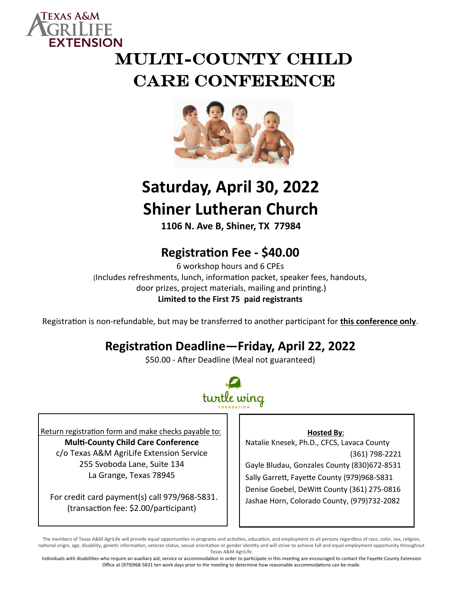

# MULTI-COUNTY CHILD CARE CONFERENCE



## **Saturday, April 30, 2022 Shiner Lutheran Church**

**1106 N. Ave B, Shiner, TX 77984**

### **Registration Fee - \$40.00**

6 workshop hours and 6 CPEs (Includes refreshments, lunch, information packet, speaker fees, handouts, door prizes, project materials, mailing and printing.) **Limited to the First 75 paid registrants**

Registration is non-refundable, but may be transferred to another participant for **this conference only**.

### **Registration Deadline—Friday, April 22, 2022**

\$50.00 - After Deadline (Meal not guaranteed)



Return registration form and make checks payable to: **Multi-County Child Care Conference** c/o Texas A&M AgriLife Extension Service 255 Svoboda Lane, Suite 134 La Grange, Texas 78945

 For credit card payment(s) call 979/968-5831. (transaction fee: \$2.00/participant)

**Hosted By**:

Natalie Knesek, Ph.D., CFCS, Lavaca County (361) 798-2221 Gayle Bludau, Gonzales County (830)672-8531 Sally Garrett, Fayette County (979)968-5831 Denise Goebel, DeWitt County (361) 275-0816

Jashae Horn, Colorado County, (979)732-2082

The members of Texas A&M AgriLife will provide equal opportunities in programs and activities, education, and employment to all persons regardless of race, color, sex, religion, national origin, age, disability, genetic information, veteran status, sexual orientation or gender identity and will strive to achieve full and equal employment opportunity throughout Texas A&M AgriLife.

Individuals with disabilities who require an auxiliary aid, service or accommodation in order to participate in this meeting are encouraged to contact the Fayette County Extension Office at (979)968-5831 ten work days prior to the meeting to determine how reasonable accommodations can be made.